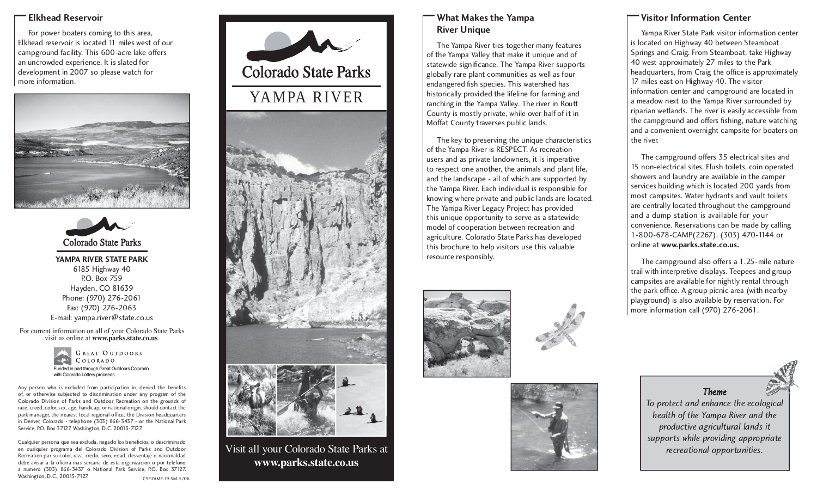## **Elkhead Reservoir**

 For power boaters coming to this area, Elkhead reservoir is located 11 miles west of our campground facility. This 600-acre lake offers an uncrowded experience. It is slated for development in 2007 so please watch for more information.





**YAMPA RIVER STATE PARK**6185 Highway 40 P.O. Box 759Hayden, CO 81639 Phone: (970) 276-2061 Fax: (970) 276-2063 E-mail: yampa.river@state.co.us

For current information on all of your Colorado State Parks visit us online at **www.parks.state.co.us**.



Any person who is excluded from participation in, denied the benefits of, or otherwise subjected to discrimination under any program of the Colorado Division of Parks and Outdoor Recreation on the grounds of race, creed, color, sex, age, handicap, or national origin, should contact the park manager, the nearest local regional office, the Division headquarters in Denver, Colorado - telephone (303) 866-3437 - or the National Park

Service, P.O. Box 37127, Washington, D.C. 20013-7127.

Cualquier persona que sea excluda, negado los beneficios, o descriminado en cualquier programa del Colorado Division of Parks and Outdoor Recreation par su color, raza, credo, sexo, edad, desventaje o nacionaldad debe avisar a la oficina mas sercana de esta organizacion o por telefono a numero (303) 866-3437 o National Park Service, P.O. Box 37127, Washington, D.C., 20013-7127. CSP-YAMP-19.5M-5/06





Visit all your Colorado State Parks at **www.parks.state.co.us**

## **What Makes the Yampa River Unique**

 The Yampa River ties together many features of the Yampa Valley that make it unique and of statewide significance. The Yampa River supports globally rare plant communities as well as four endangered fish species. This watershed has historically provided the lifeline for farming and ranching in the Yampa Valley. The river in Routt County is mostly private, while over half of it in Moffat County traverses public lands.

 The key to preserving the unique characteristics of the Yampa River is RESPECT. As recreation users and as private landowners, it is imperative to respect one another, the animals and plant life, and the landscape - all of which are supported by the Yampa River. Each individual is responsible for knowing where private and public lands are located. The Yampa River Legacy Project has provided this unique opportunity to serve as a statewide model of cooperation between recreation and agriculture. Colorado State Parks has developed this brochure to help visitors use this valuable resource responsibly.





## **Visitor Information Center**

 Yampa River State Park visitor information center is located on Highway 40 between Steamboat Springs and Craig. From Steamboat, take Highway 40 west approximately 27 miles to the Park headquarters, from Craig the office is approximately 17 miles east on Highway 40. The visitor information center and campground are located in a meadow next to the Yampa River surrounded by riparian wetlands. The river is easily accessible from the campground and offers fishing, nature watching and a convenient overnight campsite for boaters on the river.

 The campground offers 35 electrical sites and 15 non-electrical sites. Flush toilets, coin operated showers and laundry are available in the camper services building which is located 200 yards from most campsites. Water hydrants and vault toilets are centrally located throughout the campground and a dump station is available for your convenience. Reservations can be made by calling 1-800-678-CAMP(2267), (303) 470-1144 or online at **www.parks.state.co.us.**

 The campground also offers a 1.25-mile nature trail with interpretive displays. Teepees and group campsites are available for nightly rental through the park office. A group picnic area (with nearby <sup>p</sup>layground) is also available by reservation. For more information call (970) 276-2061.

*ThemeTo protect and enhance the ecological health of the Yampa River and the productive agricultural lands it supports while providing appropriate recreational opportunities.*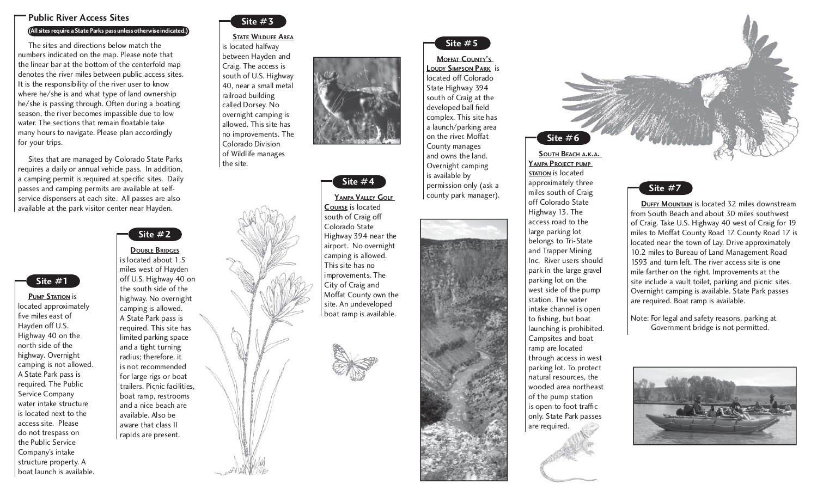## **Public River Access Sites**

### **(All sites require a State Parks pass unless otherwise indicated.)**

 The sites and directions below match the numbers indicated on the map. Please note that the linear bar at the bottom of the centerfold map denotes the river miles between public access sites. It is the responsibility of the river user to know where he/she is and what type of land ownership he/she is passing through. Often during a boating season, the river becomes impassible due to low water. The sections that remain floatable take many hours to navigate. Please plan accordingly for your trips.

 Sites that are managed by Colorado State Parks requires a daily or annual vehicle pass. In addition, a camping permit is required at specific sites. Daily passes and camping permits are available at selfservice dispensers at each site. All passes are also available at the park visitor center near Hayden.



**PUMP STATION** is located approximately five miles east of Hayden off U.S. Highway 40 on the north side of the highway. Overnight camping is not allowed. A State Park pass is required. The Public Service Company water intake structure is located next to the access site. Please do not trespass on the Public Service Company's intake structure property. A boat launch is available.



## **STATE WILDLIFE AREA**

is located halfway between Hayden and Craig. The access is south of U.S. Highway 40, near a small metal railroad building called Dorsey. No overnight camping is allowed. This site has no improvements. The Colorado Division of Wildlife manages the site.



**DOUBLE BRIDGES**

miles west of Hayden off U.S. Highway 40 on the south side of the highway. No overnight camping is allowed. A State Park pass is required. This site has limited parking space and a tight turning radius; therefore, it is not recommended for large rigs or boat trailers. Picnic facilities, boat ramp, restrooms and a nice beach are available. Also be aware that class II rapids are present.





**COURSE** is located south of Craig off Colorado State Highway 394 near the airport. No overnight camping is allowed. This site has no improvements. The City of Craig and Moffat County own the site. An undeveloped boat ramp is available.





**MOFFAT COUNTY'SLOUDY SIMPSON PARK** is located off Colorado State Highway 394 south of Craig at the developed ball field complex. This site has a launch/parking area on the river. Moffat County manages and owns the land. Overnight camping is available by permission only (ask a county park manager).

approximately three miles south of Craig off Colorado State Highway 13. The access road to the large parking lot belongs to Tri-State and Trapper Mining Inc. River users should park in the large gravel parking lot on the west side of the pump station. The water intake channel is open to fishing, but boat launching is prohibited. Campsites and boat ramp are located through access in west parking lot. To protect natural resources, the wooded area northeast of the pump station is open to foot traffic

are required.







**DUFFY MOUNTAIN** is located 32 miles downstream from South Beach and about 30 miles southwest of Craig. Take U.S. Highway 40 west of Craig for 19 miles to Moffat County Road 17. County Road 17 is located near the town of Lay. Drive approximately 10.2 miles to Bureau of Land Management Road 1593 and turn left. The river access site is one mile farther on the right. Improvements at the site include a vault toilet, parking and picnic sites. Overnight camping is available. State Park passes are required. Boat ramp is available.

Note: For legal and safety reasons, parking at Government bridge is not permitted.

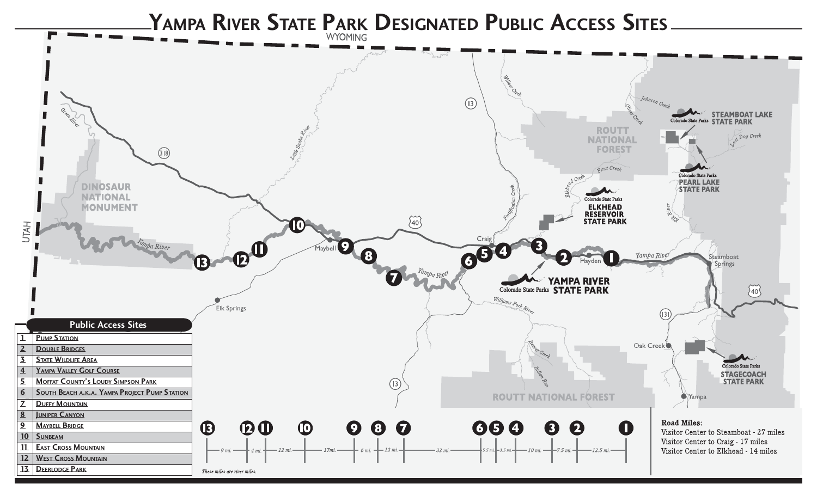